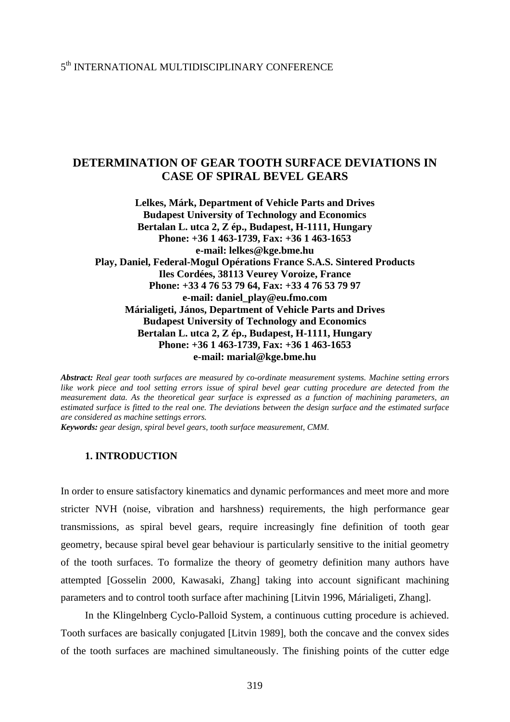# **DETERMINATION OF GEAR TOOTH SURFACE DEVIATIONS IN CASE OF SPIRAL BEVEL GEARS**

**Lelkes, Márk, Department of Vehicle Parts and Drives Budapest University of Technology and Economics Bertalan L. utca 2, Z ép., Budapest, H-1111, Hungary Phone: +36 1 463-1739, Fax: +36 1 463-1653 e-mail: [lelkes@kge.bme.hu](mailto:lelkes@kge.bme.hu)  Play, Daniel, Federal-Mogul Opérations France S.A.S. Sintered Products Iles Cordées, 38113 Veurey Voroize, France Phone: +33 4 76 53 79 64, Fax: +33 4 76 53 79 97 e-mail: daniel\_play@eu.fmo.com Márialigeti, János, Department of Vehicle Parts and Drives Budapest University of Technology and Economics Bertalan L. utca 2, Z ép., Budapest, H-1111, Hungary Phone: +36 1 463-1739, Fax: +36 1 463-1653 e-mail: marial@kge.bme.hu** 

*Abstract: Real gear tooth surfaces are measured by co-ordinate measurement systems. Machine setting errors like work piece and tool setting errors issue of spiral bevel gear cutting procedure are detected from the measurement data. As the theoretical gear surface is expressed as a function of machining parameters, an estimated surface is fitted to the real one. The deviations between the design surface and the estimated surface are considered as machine settings errors.* 

*Keywords: gear design, spiral bevel gears, tooth surface measurement, CMM.* 

## **1. INTRODUCTION**

In order to ensure satisfactory kinematics and dynamic performances and meet more and more stricter NVH (noise, vibration and harshness) requirements, the high performance gear transmissions, as spiral bevel gears, require increasingly fine definition of tooth gear geometry, because spiral bevel gear behaviour is particularly sensitive to the initial geometry of the tooth surfaces. To formalize the theory of geometry definition many authors have attempted [Gosselin 2000, Kawasaki, Zhang] taking into account significant machining parameters and to control tooth surface after machining [Litvin 1996, Márialigeti, Zhang].

In the Klingelnberg Cyclo-Palloid System, a continuous cutting procedure is achieved. Tooth surfaces are basically conjugated [Litvin 1989], both the concave and the convex sides of the tooth surfaces are machined simultaneously. The finishing points of the cutter edge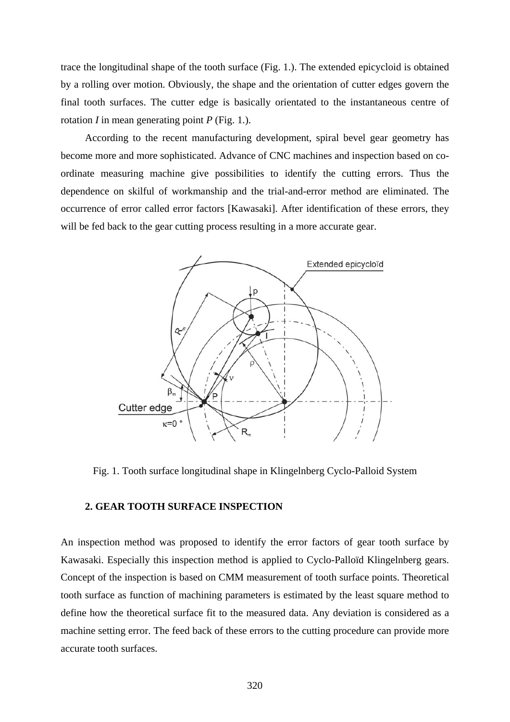trace the longitudinal shape of the tooth surface (Fig. 1.). The extended epicycloid is obtained by a rolling over motion. Obviously, the shape and the orientation of cutter edges govern the final tooth surfaces. The cutter edge is basically orientated to the instantaneous centre of rotation *I* in mean generating point *P* (Fig. 1.).

According to the recent manufacturing development, spiral bevel gear geometry has become more and more sophisticated. Advance of CNC machines and inspection based on coordinate measuring machine give possibilities to identify the cutting errors. Thus the dependence on skilful of workmanship and the trial-and-error method are eliminated. The occurrence of error called error factors [Kawasaki]. After identification of these errors, they will be fed back to the gear cutting process resulting in a more accurate gear.



Fig. 1. Tooth surface longitudinal shape in Klingelnberg Cyclo-Palloid System

## **2. GEAR TOOTH SURFACE INSPECTION**

An inspection method was proposed to identify the error factors of gear tooth surface by Kawasaki. Especially this inspection method is applied to Cyclo-Palloïd Klingelnberg gears. Concept of the inspection is based on CMM measurement of tooth surface points. Theoretical tooth surface as function of machining parameters is estimated by the least square method to define how the theoretical surface fit to the measured data. Any deviation is considered as a machine setting error. The feed back of these errors to the cutting procedure can provide more accurate tooth surfaces.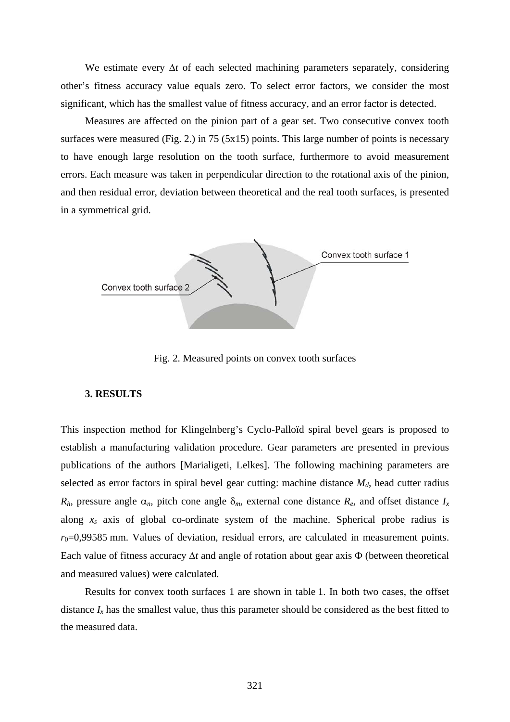We estimate every  $\Delta t$  of each selected machining parameters separately, considering other's fitness accuracy value equals zero. To select error factors, we consider the most significant, which has the smallest value of fitness accuracy, and an error factor is detected.

Measures are affected on the pinion part of a gear set. Two consecutive convex tooth surfaces were measured (Fig. 2.) in 75 (5 $x15$ ) points. This large number of points is necessary to have enough large resolution on the tooth surface, furthermore to avoid measurement errors. Each measure was taken in perpendicular direction to the rotational axis of the pinion, and then residual error, deviation between theoretical and the real tooth surfaces, is presented in a symmetrical grid.



Fig. 2. Measured points on convex tooth surfaces

#### **3. RESULTS**

This inspection method for Klingelnberg's Cyclo-Palloïd spiral bevel gears is proposed to establish a manufacturing validation procedure. Gear parameters are presented in previous publications of the authors [Marialigeti, Lelkes]. The following machining parameters are selected as error factors in spiral bevel gear cutting: machine distance  $M_d$ , head cutter radius  $R_h$ , pressure angle  $\alpha_n$ , pitch cone angle  $\delta_m$ , external cone distance  $R_e$ , and offset distance  $I_x$ along *xs* axis of global co-ordinate system of the machine. Spherical probe radius is  $r_0$ =0,99585 mm. Values of deviation, residual errors, are calculated in measurement points. Each value of fitness accuracy Δ*t* and angle of rotation about gear axis Φ (between theoretical and measured values) were calculated.

Results for convex tooth surfaces 1 are shown in table 1. In both two cases, the offset distance  $I_x$  has the smallest value, thus this parameter should be considered as the best fitted to the measured data.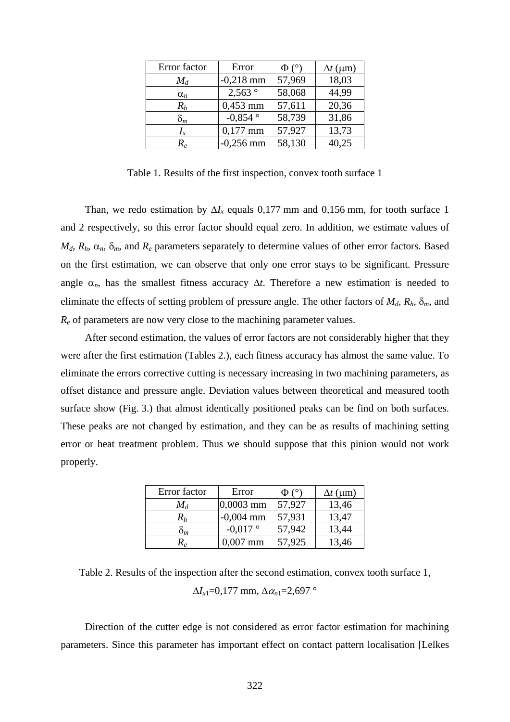| Error factor                  | Error       | $\Phi$ ( $\circ$ ) | $\Delta t$ (µm) |
|-------------------------------|-------------|--------------------|-----------------|
| $M_d$                         | $-0,218$ mm | 57,969             | 18,03           |
| $\alpha_n$                    | 2,563°      | 58,068             | 44,99           |
| $R_h$                         | $0,453$ mm  | 57,611             | 20,36           |
| $\delta_m$                    | $-0,854$ °  | 58,739             | 31,86           |
| $I_x$                         | $0,177$ mm  | 57,927             | 13,73           |
| $R_{\scriptscriptstyle \rho}$ | $-0,256$ mm | 58,130             | 40,25           |

Table 1. Results of the first inspection, convex tooth surface 1

Than, we redo estimation by  $\Delta I_x$  equals 0,177 mm and 0,156 mm, for tooth surface 1 and 2 respectively, so this error factor should equal zero. In addition, we estimate values of  $M_d$ ,  $R_h$ ,  $\alpha_n$ ,  $\delta_m$ , and  $R_e$  parameters separately to determine values of other error factors. Based on the first estimation, we can observe that only one error stays to be significant. Pressure angle  $\alpha_n$ , has the smallest fitness accuracy  $\Delta t$ . Therefore a new estimation is needed to eliminate the effects of setting problem of pressure angle. The other factors of  $M_d$ ,  $R_h$ ,  $\delta_m$ , and *Re* of parameters are now very close to the machining parameter values.

After second estimation, the values of error factors are not considerably higher that they were after the first estimation (Tables 2.), each fitness accuracy has almost the same value. To eliminate the errors corrective cutting is necessary increasing in two machining parameters, as offset distance and pressure angle. Deviation values between theoretical and measured tooth surface show (Fig. 3.) that almost identically positioned peaks can be find on both surfaces. These peaks are not changed by estimation, and they can be as results of machining setting error or heat treatment problem. Thus we should suppose that this pinion would not work properly.

| Error factor   | Error       | Φ (    | $\Delta t$ (µm) |
|----------------|-------------|--------|-----------------|
| $M_d$          | $0,0003$ mm | 57,927 | 13,46           |
| $\it R_h$      | $-0,004$ mm | 57,931 | 13,47           |
| $\mathrm{o}_m$ | $-0.017$ °  | 57,942 | 13,44           |
|                | $0.007$ mm  | 57,925 | 13,46           |

Table 2. Results of the inspection after the second estimation, convex tooth surface 1,  $\Delta I_{x1} = 0,177$  mm,  $\Delta \alpha_{n1} = 2,697$  °

Direction of the cutter edge is not considered as error factor estimation for machining parameters. Since this parameter has important effect on contact pattern localisation [Lelkes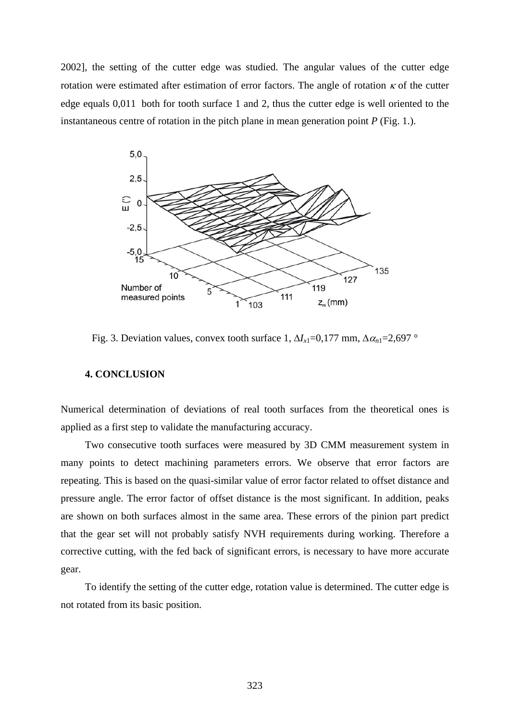2002], the setting of the cutter edge was studied. The angular values of the cutter edge rotation were estimated after estimation of error factors. The angle of rotation  $\kappa$  of the cutter edge equals 0,011 both for tooth surface 1 and 2, thus the cutter edge is well oriented to the instantaneous centre of rotation in the pitch plane in mean generation point *P* (Fig. 1.).



Fig. 3. Deviation values, convex tooth surface 1,  $\Delta I_{x1} = 0.177$  mm,  $\Delta \alpha_{n1} = 2.697$  °

## **4. CONCLUSION**

Numerical determination of deviations of real tooth surfaces from the theoretical ones is applied as a first step to validate the manufacturing accuracy.

Two consecutive tooth surfaces were measured by 3D CMM measurement system in many points to detect machining parameters errors. We observe that error factors are repeating. This is based on the quasi-similar value of error factor related to offset distance and pressure angle. The error factor of offset distance is the most significant. In addition, peaks are shown on both surfaces almost in the same area. These errors of the pinion part predict that the gear set will not probably satisfy NVH requirements during working. Therefore a corrective cutting, with the fed back of significant errors, is necessary to have more accurate gear.

To identify the setting of the cutter edge, rotation value is determined. The cutter edge is not rotated from its basic position.